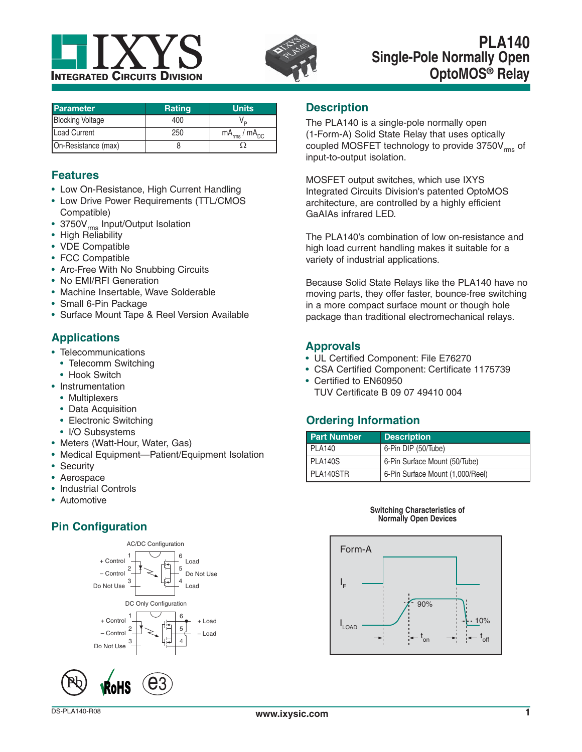



| <b>Parameter</b>        | <b>Rating</b> | <b>Units</b>           |
|-------------------------|---------------|------------------------|
| <b>Blocking Voltage</b> | 400           |                        |
| Load Current            | 250           | $mA_{rms}$ / $mA_{DC}$ |
| On-Resistance (max)     |               |                        |

### **Features**

- Low On-Resistance, High Current Handling
- Low Drive Power Requirements (TTL/CMOS Compatible)
- 3750V<sub>rms</sub> Input/Output Isolation
- High Reliability
- VDE Compatible
- FCC Compatible
- Arc-Free With No Snubbing Circuits
- No EMI/RFI Generation
- Machine Insertable, Wave Solderable
- Small 6-Pin Package
- Surface Mount Tape & Reel Version Available

## **Applications**

- Telecommunications
	- Telecomm Switching
	- Hook Switch
- Instrumentation
- Multiplexers
- Data Acquisition
- Electronic Switching
- I/O Subsystems
- Meters (Watt-Hour, Water, Gas)
- Medical Equipment—Patient/Equipment Isolation
- Security
- Aerospace
- Industrial Controls
- Automotive

# **Pin Configuration**



### **Description**

The PLA140 is a single-pole normally open (1-Form-A) Solid State Relay that uses optically coupled MOSFET technology to provide 3750V<sub>rms</sub> of input-to-output isolation.

MOSFET output switches, which use IXYS Integrated Circuits Division's patented OptoMOS architecture, are controlled by a highly efficient GaAIAs infrared LED.

The PLA140's combination of low on-resistance and high load current handling makes it suitable for a variety of industrial applications.

Because Solid State Relays like the PLA140 have no moving parts, they offer faster, bounce-free switching in a more compact surface mount or though hole package than traditional electromechanical relays.

#### **Approvals**

- UL Certified Component: File E76270
- CSA Certified Component: Certificate 1175739
- Certified to EN60950 TUV Certificate B 09 07 49410 004

## **Ordering Information**

| <b>Part Number</b> | <b>Description</b>               |
|--------------------|----------------------------------|
| PLA140             | 6-Pin DIP (50/Tube)              |
| PLA140S            | 6-Pin Surface Mount (50/Tube)    |
| PLA140STR          | 6-Pin Surface Mount (1,000/Reel) |

#### **Switching Characteristics of Normally Open Devices**

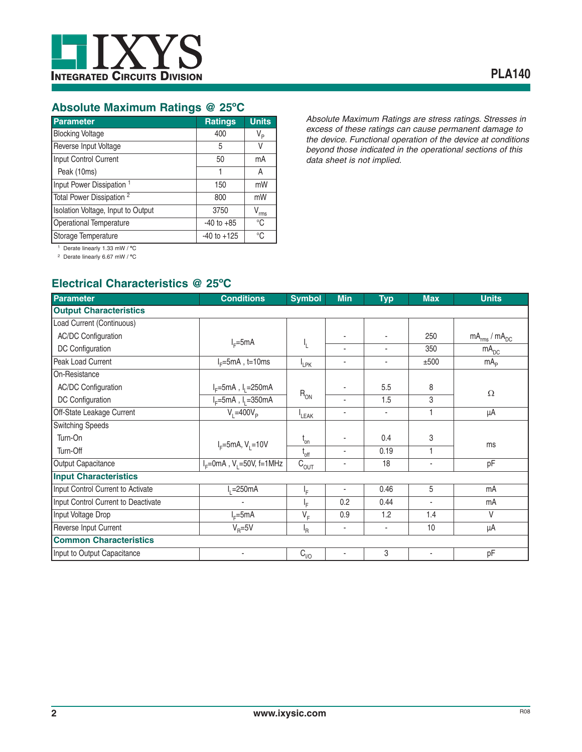

### **Absolute Maximum Ratings @ 25ºC**

| Parameter                            | <b>Ratings</b>  | <b>Units</b> |
|--------------------------------------|-----------------|--------------|
| <b>Blocking Voltage</b>              | 400             | $V_{\sf p}$  |
| Reverse Input Voltage                | 5               | V            |
| Input Control Current                | 50              | mA           |
| Peak (10ms)                          |                 | A            |
| Input Power Dissipation <sup>1</sup> | 150             | mW           |
| Total Power Dissipation <sup>2</sup> | 800             | mW           |
| Isolation Voltage, Input to Output   | 3750            | rms          |
| <b>Operational Temperature</b>       | $-40$ to $+85$  | °C           |
| Storage Temperature                  | $-40$ to $+125$ | °C           |

*Absolute Maximum Ratings are stress ratings. Stresses in excess of these ratings can cause permanent damage to the device. Functional operation of the device at conditions beyond those indicated in the operational sections of this data sheet is not implied.*

1 Derate linearly 1.33 mW / **º**C

2 Derate linearly 6.67 mW / **º**C

## **Electrical Characteristics @ 25ºC**

| <b>Parameter</b>                    | <b>Conditions</b>                            | <b>Symbol</b>               | <b>Min</b>               | <b>Typ</b>               | <b>Max</b>               | <b>Units</b>           |
|-------------------------------------|----------------------------------------------|-----------------------------|--------------------------|--------------------------|--------------------------|------------------------|
| <b>Output Characteristics</b>       |                                              |                             |                          |                          |                          |                        |
| Load Current (Continuous)           |                                              |                             |                          |                          |                          |                        |
| <b>AC/DC Configuration</b>          | $I_F = 5mA$                                  |                             |                          |                          | 250                      | $mA_{rms}$ / $mA_{DC}$ |
| DC Configuration                    |                                              | Ł                           | $\blacksquare$           | ٠                        | 350                      | mA <sub>DC</sub>       |
| Peak Load Current                   | $IF=5mA$ , t=10ms                            | <sup>I</sup> LPK            | $\blacksquare$           | ٠                        | ±500                     | mA <sub>p</sub>        |
| On-Resistance                       |                                              |                             |                          |                          |                          |                        |
| <b>AC/DC Configuration</b>          | $I_F = 5mA$ , $I_1 = 250mA$                  |                             |                          | 5.5                      | 8                        | $\Omega$               |
| DC Configuration                    | $I_F = 5mA$ , $I_1 = 350mA$                  | $R_{ON}$                    |                          | 1.5                      | 3                        |                        |
| Off-State Leakage Current           | $V_1 = 400 V_p$                              | <sup>I</sup> LEAK           |                          | ٠                        | 1                        | μA                     |
| <b>Switching Speeds</b>             |                                              |                             |                          |                          |                          |                        |
| Turn-On                             |                                              | $t_{on}$                    |                          | 0.4                      | 3                        | ms                     |
| Turn-Off                            | $I_F = 5mA, V_1 = 10V$                       | $t_{\text{off}}$            |                          | 0.19                     | 1                        |                        |
| Output Capacitance                  | $I_F = 0$ mA, V <sub>1</sub> = 50V, f = 1MHz | $\mathrm{C}_{\mathrm{OUT}}$ | ٠                        | 18                       | ٠                        | pF                     |
| <b>Input Characteristics</b>        |                                              |                             |                          |                          |                          |                        |
| Input Control Current to Activate   | $E = 250mA$                                  | ١F.                         | $\overline{\phantom{a}}$ | 0.46                     | 5                        | mA                     |
| Input Control Current to Deactivate |                                              | ١F                          | 0.2                      | 0.44                     | ٠                        | mA                     |
| Input Voltage Drop                  | $IF=5mA$                                     | $V_F$                       | 0.9                      | 1.2                      | 1.4                      | $\vee$                 |
| Reverse Input Current               | $V_{\rm B} = 5V$                             | <sup>I</sup> R              | $\overline{\phantom{a}}$ | $\overline{\phantom{a}}$ | 10                       | μA                     |
| <b>Common Characteristics</b>       |                                              |                             |                          |                          |                          |                        |
| Input to Output Capacitance         | $\blacksquare$                               | $C_{\mid/\bigcirc}$         | $\overline{\phantom{a}}$ | 3                        | $\overline{\phantom{a}}$ | pF                     |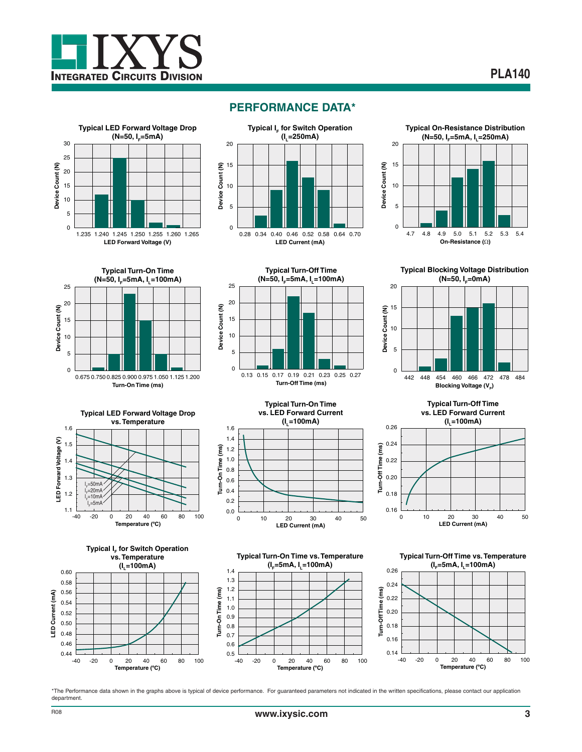



### **PERFORMANCE DATA\***





**Typical Turn-On Time (N=50, I<sub>F</sub>=5mA, I<sub>1</sub>=100mA)** 25 20 Device Count (N) **Device Count (N)** 15 10 5 0 0.675 0.750 0.825 0.900 0.975 1.050 1.125 1.200 **Turn-On Time (ms)**













**Typical Turn-On Time vs. Temperature (IF=5mA, IL=100mA)**





**Typical Turn-Off Time vs. Temperature (IF=5mA, IL=100mA)**



\*The Performance data shown in the graphs above is typical of device performance. For guaranteed parameters not indicated in the written specifications, please contact our application department.

**Turn-On Time (ms)**

Turn-On Time (ms)

0.5 0.6 0.7 0.8 0.9 1.0 1.1 1.2 1.3 1.4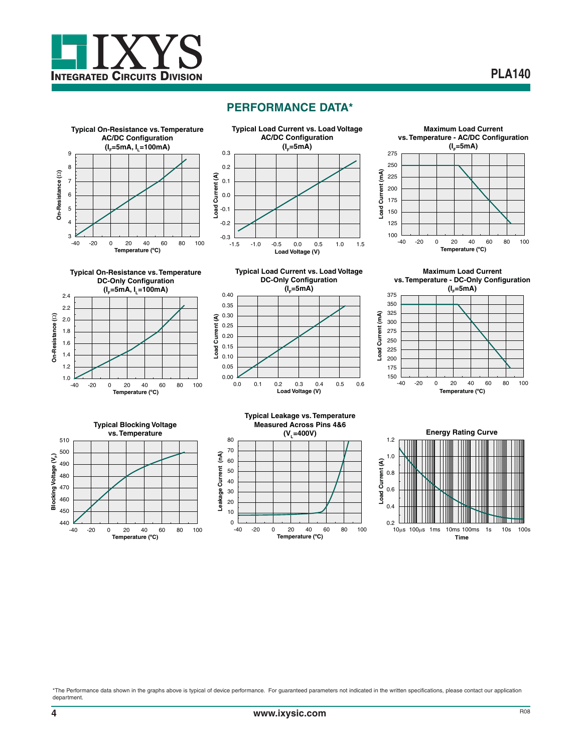

#### **PERFORMANCE DATA\***



**Typical On-Resistance vs. Temperature DC-Only Configuration** (**I<sub>E</sub>=5mA, I<sub>1</sub>=100mA**)





**Maximum Load Current vs. Temperature - DC-Only Configuration**





**Temperature (ºC)** -40 -20 0 20 40 60 80 100 **Load Current (A)**

Load Current (A)

 $0.00$   $\overline{)0.0}$ 0.05 0.10 0.15 0.20 0.25 0.30 0.35 0.40

**Typical Leakage vs. Temperature Measured Across Pins 4&6** (V<sub>1</sub>=400V) 80 70 Leakage Current (nA) **Leakage Current (nA)** 60 50 40 30 20 10  $\Omega$ -40 -20 0 20 40 60 80 100 **Temperature (ºC)**

**Load Voltage (V)** 0.0 0.1 0.2 0.3 0.4 0.5 0.6

**Typical Load Current vs. Load Voltage DC-Only Configuration**  $(I_e=5mA)$ 



\*The Performance data shown in the graphs above is typical of device performance. For guaranteed parameters not indicated in the written specifications, please contact our application department.

**On-Resistance (**:**)**

Dn-Resistance (2)

**ےا** 1.0<br>40-1.2 1.4 1.6 1.8 2.0 2.2 2.4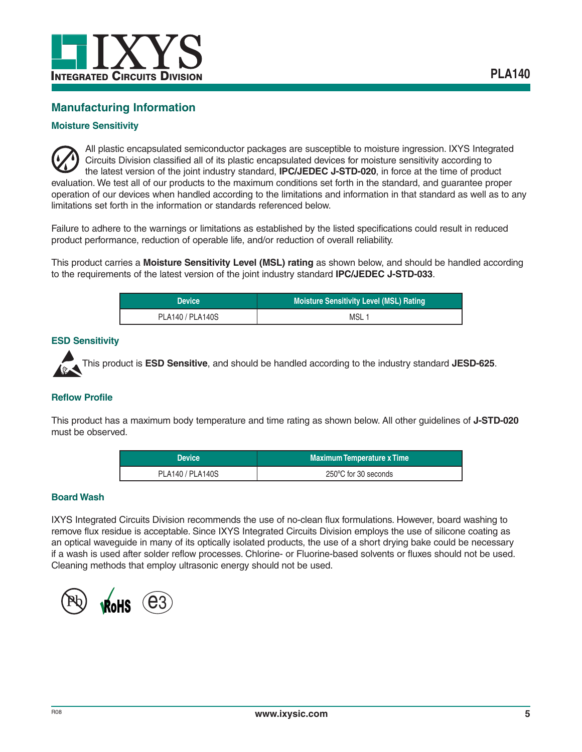

### **Manufacturing Information**

#### **Moisture Sensitivity**

All plastic encapsulated semiconductor packages are susceptible to moisture ingression. IXYS Integrated Circuits Division classified all of its plastic encapsulated devices for moisture sensitivity according to the latest version of the joint industry standard, **IPC/JEDEC J-STD-020**, in force at the time of product evaluation. We test all of our products to the maximum conditions set forth in the standard, and guarantee proper operation of our devices when handled according to the limitations and information in that standard as well as to any limitations set forth in the information or standards referenced below.

Failure to adhere to the warnings or limitations as established by the listed specifications could result in reduced product performance, reduction of operable life, and/or reduction of overall reliability.

This product carries a **Moisture Sensitivity Level (MSL) rating** as shown below, and should be handled according to the requirements of the latest version of the joint industry standard **IPC/JEDEC J-STD-033**.

| <b>Device</b>    | <b>Moisture Sensitivity Level (MSL) Rating</b> |
|------------------|------------------------------------------------|
| PLA140 / PLA140S | MSL <sub>1</sub>                               |

#### **ESD Sensitivity**

This product is **ESD Sensitive**, and should be handled according to the industry standard **JESD-625**.

#### **Reflow Profile**

This product has a maximum body temperature and time rating as shown below. All other guidelines of **J-STD-020** must be observed.

| <b>Device</b>    | <b>Maximum Temperature x Time</b> |
|------------------|-----------------------------------|
| PLA140 / PLA140S | 250°C for 30 seconds              |

#### **Board Wash**

IXYS Integrated Circuits Division recommends the use of no-clean flux formulations. However, board washing to remove flux residue is acceptable. Since IXYS Integrated Circuits Division employs the use of silicone coating as an optical waveguide in many of its optically isolated products, the use of a short drying bake could be necessary if a wash is used after solder reflow processes. Chlorine- or Fluorine-based solvents or fluxes should not be used. Cleaning methods that employ ultrasonic energy should not be used.

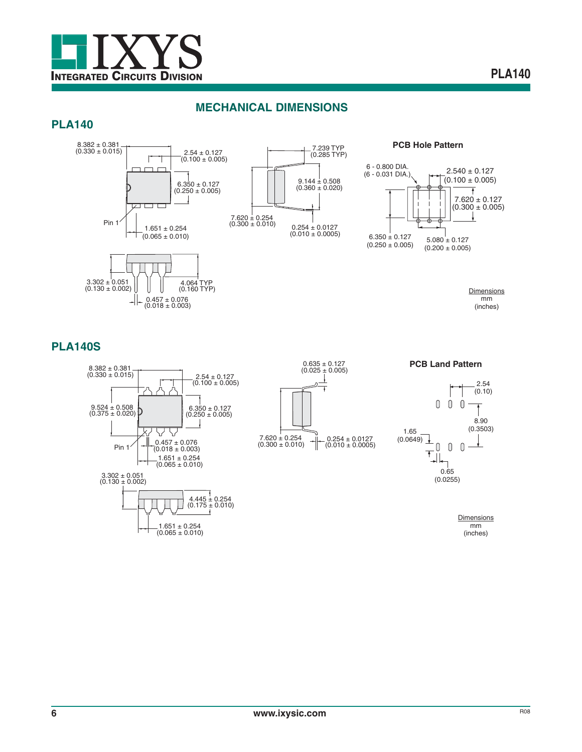

### **MECHANICAL DIMENSIONS**

#### **PLA140**



(0.160 TYP)

**PCB Hole Pattern**



**Dimensions** mm

(inches)

#### **PLA140S**



 $0.457 \pm 0.076$ <br>(0.018 ± 0.003)

U

╶╢╾









**Dimensions** mm (inches)